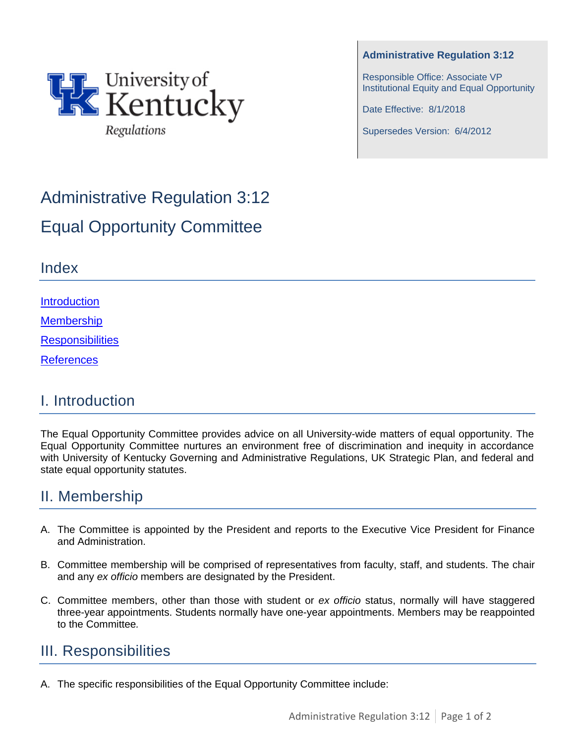

**Administrative Regulation 3:12**

Responsible Office: Associate VP Institutional Equity and Equal Opportunity

Date Effective: 8/1/2018

Supersedes Version: 6/4/2012

# Administrative Regulation 3:12 Equal Opportunity Committee

#### Index

**[Introduction](#page-0-0)** 

**[Membership](#page-0-1)** 

**[Responsibilities](#page-0-2)** 

[References](#page-1-0)

# <span id="page-0-0"></span>I. Introduction

The Equal Opportunity Committee provides advice on all University-wide matters of equal opportunity. The Equal Opportunity Committee nurtures an environment free of discrimination and inequity in accordance with University of Kentucky Governing and Administrative Regulations, UK Strategic Plan, and federal and state equal opportunity statutes.

# <span id="page-0-1"></span>II. Membership

- A. The Committee is appointed by the President and reports to the Executive Vice President for Finance and Administration.
- B. Committee membership will be comprised of representatives from faculty, staff, and students. The chair and any *ex officio* members are designated by the President.
- C. Committee members, other than those with student or *ex officio* status, normally will have staggered three-year appointments. Students normally have one-year appointments. Members may be reappointed to the Committee*.*

# <span id="page-0-2"></span>III. Responsibilities

A. The specific responsibilities of the Equal Opportunity Committee include: